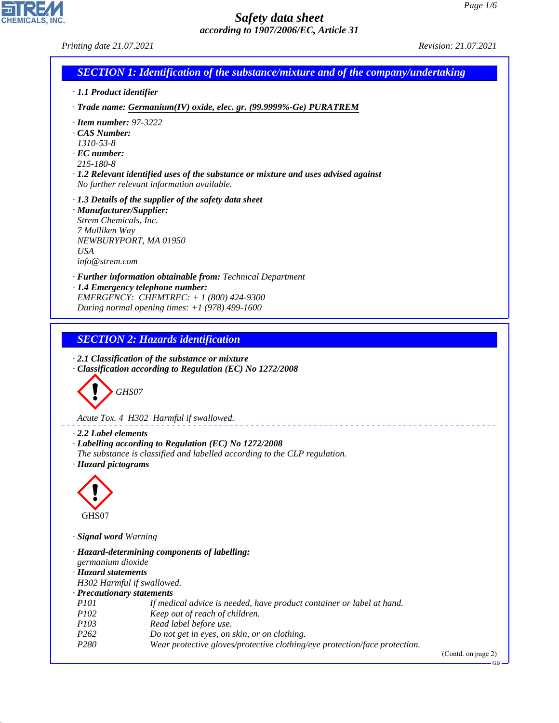**CHEMICALS, INC** 

| <b>SECTION 1: Identification of the substance/mixture and of the company/undertaking</b>                                                                                                                                                     |  |
|----------------------------------------------------------------------------------------------------------------------------------------------------------------------------------------------------------------------------------------------|--|
| · 1.1 Product identifier                                                                                                                                                                                                                     |  |
| · Trade name: Germanium(IV) oxide, elec. gr. (99.9999%-Ge) PURATREM                                                                                                                                                                          |  |
| $\cdot$ Item number: 97-3222<br>CAS Number:<br>$1310 - 53 - 8$<br>$\cdot$ EC number:<br>215-180-8<br>$\cdot$ 1.2 Relevant identified uses of the substance or mixture and uses advised against<br>No further relevant information available. |  |
| $\cdot$ 1.3 Details of the supplier of the safety data sheet<br>· Manufacturer/Supplier:<br>Strem Chemicals, Inc.<br>7 Mulliken Way<br>NEWBURYPORT, MA 01950<br><b>USA</b><br>info@strem.com                                                 |  |
| · Further information obtainable from: Technical Department<br>· 1.4 Emergency telephone number:<br>EMERGENCY: CHEMTREC: $+ 1 (800) 424 - 9300$<br>During normal opening times: $+1$ (978) 499-1600                                          |  |
| <b>SECTION 2: Hazards identification</b><br>$\cdot$ 2.1 Classification of the substance or mixture<br>Classification according to Regulation (EC) No 1272/2008                                                                               |  |
| GHS07                                                                                                                                                                                                                                        |  |

---------------------

*Acute Tox. 4 H302 Harmful if swallowed.*

*· 2.2 Label elements*

- *· Labelling according to Regulation (EC) No 1272/2008*
- *The substance is classified and labelled according to the CLP regulation.*
- *· Hazard pictograms*



44.1.1

*· Signal word Warning*

|                            | · Hazard-determining components of labelling:                              |                      |
|----------------------------|----------------------------------------------------------------------------|----------------------|
| germanium dioxide          |                                                                            |                      |
| · Hazard statements        |                                                                            |                      |
|                            | H302 Harmful if swallowed.                                                 |                      |
| · Precautionary statements |                                                                            |                      |
| <i>P101</i>                | If medical advice is needed, have product container or label at hand.      |                      |
| <i>P102</i>                | Keep out of reach of children.                                             |                      |
| <i>P103</i>                | Read label before use.                                                     |                      |
| P <sub>262</sub>           | Do not get in eyes, on skin, or on clothing.                               |                      |
| P280                       | Wear protective gloves/protective clothing/eye protection/face protection. |                      |
|                            |                                                                            | $(C_{\alpha n} + A)$ |

(Contd. on page 2)

GB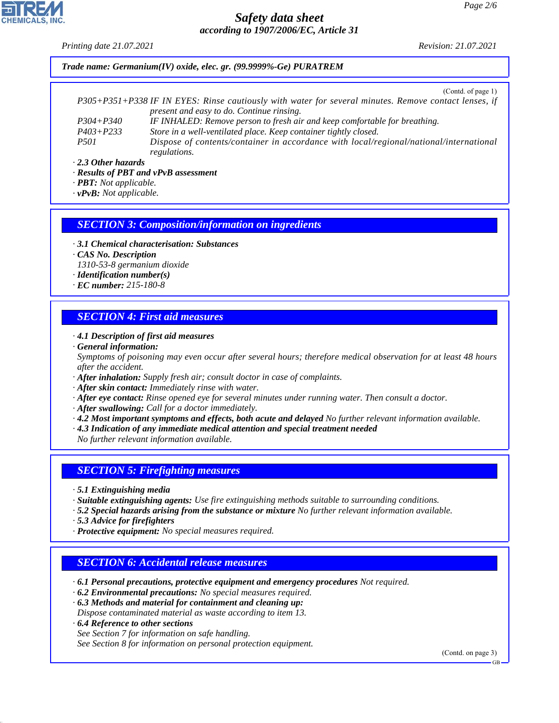*Printing date 21.07.2021 Revision: 21.07.2021*

*Trade name: Germanium(IV) oxide, elec. gr. (99.9999%-Ge) PURATREM*

(Contd. of page 1)

|               | P305+P351+P338 IF IN EYES: Rinse cautiously with water for several minutes. Remove contact lenses, if |
|---------------|-------------------------------------------------------------------------------------------------------|
|               | present and easy to do. Continue rinsing.                                                             |
| $P304 + P340$ | IF INHALED: Remove person to fresh air and keep comfortable for breathing.                            |
| $P403 + P233$ | Store in a well-ventilated place. Keep container tightly closed.                                      |
| <i>P501</i>   | Dispose of contents/container in accordance with local/regional/national/international                |
|               | <i>regulations.</i>                                                                                   |

*· 2.3 Other hazards*

*· Results of PBT and vPvB assessment*

*· PBT: Not applicable.*

*· vPvB: Not applicable.*

#### *SECTION 3: Composition/information on ingredients*

*· 3.1 Chemical characterisation: Substances*

*· CAS No. Description*

*1310-53-8 germanium dioxide*

- *· Identification number(s)*
- *· EC number: 215-180-8*

### *SECTION 4: First aid measures*

*· 4.1 Description of first aid measures · General information:*

*Symptoms of poisoning may even occur after several hours; therefore medical observation for at least 48 hours after the accident.*

*· After inhalation: Supply fresh air; consult doctor in case of complaints.*

*· After skin contact: Immediately rinse with water.*

*· After eye contact: Rinse opened eye for several minutes under running water. Then consult a doctor.*

*· After swallowing: Call for a doctor immediately.*

*· 4.2 Most important symptoms and effects, both acute and delayed No further relevant information available.*

*· 4.3 Indication of any immediate medical attention and special treatment needed*

*No further relevant information available.*

### *SECTION 5: Firefighting measures*

*· 5.1 Extinguishing media*

*· Suitable extinguishing agents: Use fire extinguishing methods suitable to surrounding conditions.*

*· 5.2 Special hazards arising from the substance or mixture No further relevant information available.*

*· 5.3 Advice for firefighters*

*· Protective equipment: No special measures required.*

#### *SECTION 6: Accidental release measures*

*· 6.1 Personal precautions, protective equipment and emergency procedures Not required.*

*· 6.2 Environmental precautions: No special measures required.*

*· 6.3 Methods and material for containment and cleaning up: Dispose contaminated material as waste according to item 13.*

*· 6.4 Reference to other sections*

44.1.1

*See Section 7 for information on safe handling.*

*See Section 8 for information on personal protection equipment.*

(Contd. on page 3)

GB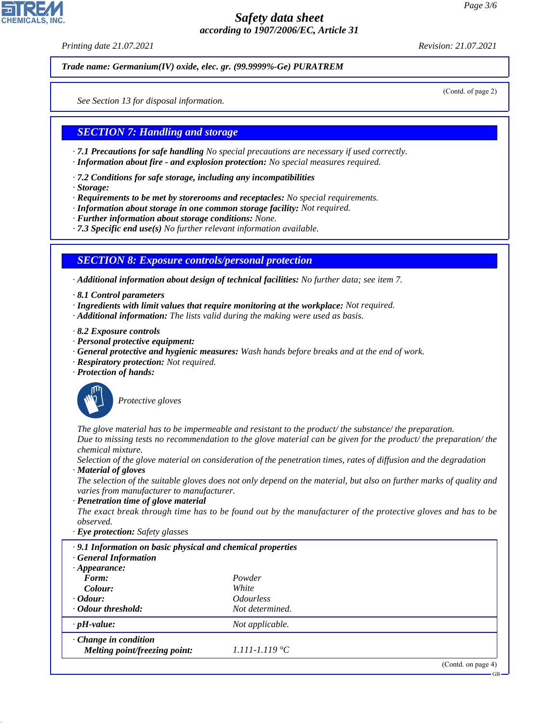*Printing date 21.07.2021 Revision: 21.07.2021*

*Trade name: Germanium(IV) oxide, elec. gr. (99.9999%-Ge) PURATREM*

(Contd. of page 2)

*See Section 13 for disposal information.*

#### *SECTION 7: Handling and storage*

*· 7.1 Precautions for safe handling No special precautions are necessary if used correctly.*

- *· Information about fire and explosion protection: No special measures required.*
- *· 7.2 Conditions for safe storage, including any incompatibilities*
- *· Storage:*
- *· Requirements to be met by storerooms and receptacles: No special requirements.*
- *· Information about storage in one common storage facility: Not required.*
- *· Further information about storage conditions: None.*
- *· 7.3 Specific end use(s) No further relevant information available.*

#### *SECTION 8: Exposure controls/personal protection*

*· Additional information about design of technical facilities: No further data; see item 7.*

- *· 8.1 Control parameters*
- *· Ingredients with limit values that require monitoring at the workplace: Not required.*
- *· Additional information: The lists valid during the making were used as basis.*
- *· 8.2 Exposure controls*
- *· Personal protective equipment:*
- *· General protective and hygienic measures: Wash hands before breaks and at the end of work.*
- *· Respiratory protection: Not required.*
- *· Protection of hands:*



44.1.1

\_S*Protective gloves*

*The glove material has to be impermeable and resistant to the product/ the substance/ the preparation.*

*Due to missing tests no recommendation to the glove material can be given for the product/ the preparation/ the chemical mixture.*

*Selection of the glove material on consideration of the penetration times, rates of diffusion and the degradation*

*· Material of gloves*

*The selection of the suitable gloves does not only depend on the material, but also on further marks of quality and varies from manufacturer to manufacturer.*

*· Penetration time of glove material*

*The exact break through time has to be found out by the manufacturer of the protective gloves and has to be observed.*

*· Eye protection: Safety glasses*

| .9.1 Information on basic physical and chemical properties<br><b>General Information</b> |                                |                    |
|------------------------------------------------------------------------------------------|--------------------------------|--------------------|
| $\cdot$ Appearance:                                                                      |                                |                    |
| Form:                                                                                    | Powder                         |                    |
| Colour:                                                                                  | White                          |                    |
| $\cdot$ Odour:                                                                           | <i><u><b>Odourless</b></u></i> |                    |
| • Odour threshold:                                                                       | Not determined.                |                    |
| $\cdot$ pH-value:                                                                        | Not applicable.                |                    |
| $\cdot$ Change in condition<br>Melting point/freezing point:                             | $1.111 - 1.119$ °C             |                    |
|                                                                                          |                                | (Contd. on page 4) |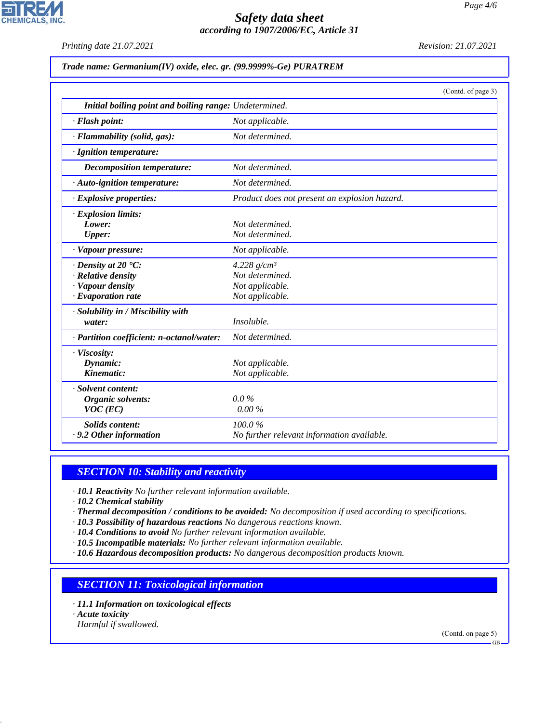*Printing date 21.07.2021 Revision: 21.07.2021*

**CHEMICALS, INC.** 

|  | Trade name: Germanium(IV) oxide, elec. gr. (99.9999%-Ge) PURATREM |  |  |  |
|--|-------------------------------------------------------------------|--|--|--|
|--|-------------------------------------------------------------------|--|--|--|

|                                                        | (Contd. of page 3)                            |
|--------------------------------------------------------|-----------------------------------------------|
| Initial boiling point and boiling range: Undetermined. |                                               |
| · Flash point:                                         | Not applicable.                               |
| · Flammability (solid, gas):                           | Not determined.                               |
| · Ignition temperature:                                |                                               |
| Decomposition temperature:                             | Not determined.                               |
| · Auto-ignition temperature:                           | Not determined.                               |
| $\cdot$ Explosive properties:                          | Product does not present an explosion hazard. |
| · Explosion limits:                                    |                                               |
| Lower:                                                 | Not determined.                               |
| Upper:                                                 | Not determined.                               |
| · Vapour pressure:                                     | Not applicable.                               |
| $\cdot$ Density at 20 $\cdot$ C:                       | 4.228 $g/cm^3$                                |
| · Relative density                                     | Not determined.                               |
| · Vapour density                                       | Not applicable.                               |
| $\cdot$ Evaporation rate                               | Not applicable.                               |
| · Solubility in / Miscibility with                     |                                               |
| water:                                                 | Insoluble.                                    |
| · Partition coefficient: n-octanol/water:              | Not determined.                               |
| · Viscosity:                                           |                                               |
| Dynamic:                                               | Not applicable.                               |
| Kinematic:                                             | Not applicable.                               |
| · Solvent content:                                     |                                               |
| Organic solvents:                                      | $0.0\%$                                       |
| $VOC$ (EC)                                             | $0.00\%$                                      |
| <b>Solids content:</b>                                 | 100.0%                                        |
| · 9.2 Other information                                | No further relevant information available.    |

# *SECTION 10: Stability and reactivity*

*· 10.1 Reactivity No further relevant information available.*

*· 10.2 Chemical stability*

*· Thermal decomposition / conditions to be avoided: No decomposition if used according to specifications.*

*· 10.3 Possibility of hazardous reactions No dangerous reactions known.*

*· 10.4 Conditions to avoid No further relevant information available.*

*· 10.5 Incompatible materials: No further relevant information available.*

*· 10.6 Hazardous decomposition products: No dangerous decomposition products known.*

## *SECTION 11: Toxicological information*

- *· 11.1 Information on toxicological effects*
- *· Acute toxicity*

44.1.1

*Harmful if swallowed.*

(Contd. on page 5)

GB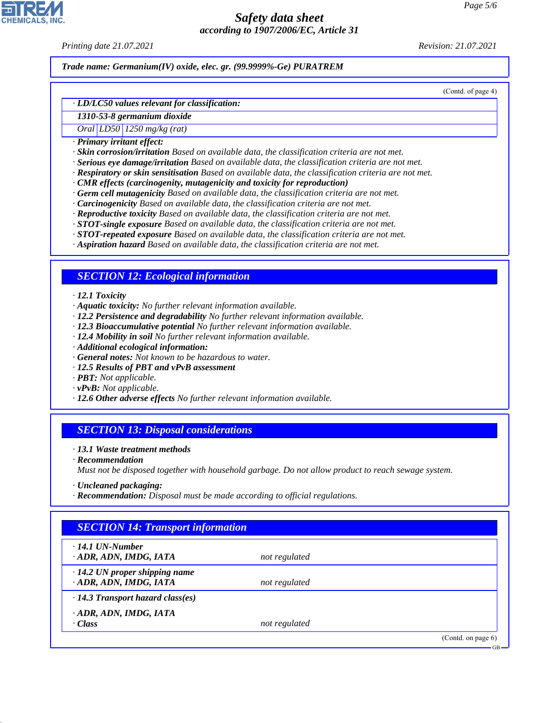*Printing date 21.07.2021 Revision: 21.07.2021*

*Trade name: Germanium(IV) oxide, elec. gr. (99.9999%-Ge) PURATREM*

(Contd. of page 4)

#### *· LD/LC50 values relevant for classification:*

*1310-53-8 germanium dioxide*

# *Oral LD50 1250 mg/kg (rat)*

*· Primary irritant effect:*

- *· Skin corrosion/irritation Based on available data, the classification criteria are not met.*
- *· Serious eye damage/irritation Based on available data, the classification criteria are not met.*
- *· Respiratory or skin sensitisation Based on available data, the classification criteria are not met.*
- *· CMR effects (carcinogenity, mutagenicity and toxicity for reproduction)*
- *· Germ cell mutagenicity Based on available data, the classification criteria are not met.*
- *· Carcinogenicity Based on available data, the classification criteria are not met.*
- *· Reproductive toxicity Based on available data, the classification criteria are not met.*
- *· STOT-single exposure Based on available data, the classification criteria are not met.*
- *· STOT-repeated exposure Based on available data, the classification criteria are not met.*
- *· Aspiration hazard Based on available data, the classification criteria are not met.*

#### *SECTION 12: Ecological information*

#### *· 12.1 Toxicity*

- *· Aquatic toxicity: No further relevant information available.*
- *· 12.2 Persistence and degradability No further relevant information available.*
- *· 12.3 Bioaccumulative potential No further relevant information available.*
- *· 12.4 Mobility in soil No further relevant information available.*
- *· Additional ecological information:*
- *· General notes: Not known to be hazardous to water.*
- *· 12.5 Results of PBT and vPvB assessment*
- *· PBT: Not applicable.*
- *· vPvB: Not applicable.*
- *· 12.6 Other adverse effects No further relevant information available.*

#### *SECTION 13: Disposal considerations*

- *· 13.1 Waste treatment methods*
- *· Recommendation*

44.1.1

*Must not be disposed together with household garbage. Do not allow product to reach sewage system.*

- *· Uncleaned packaging:*
- *· Recommendation: Disposal must be made according to official regulations.*

# *SECTION 14: Transport information · 14.1 UN-Number · ADR, ADN, IMDG, IATA not regulated · 14.2 UN proper shipping name · ADR, ADN, IMDG, IATA not regulated · 14.3 Transport hazard class(es) · ADR, ADN, IMDG, IATA · Class not regulated* (Contd. on page 6) GB